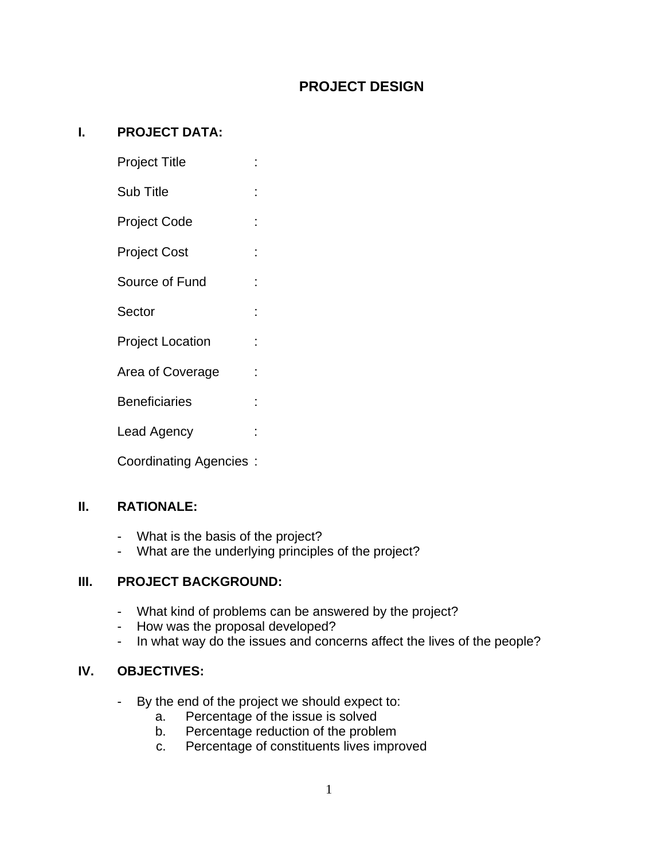# **PROJECT DESIGN**

#### **I. PROJECT DATA:**

- Project Title : :
- Sub Title  $\qquad \qquad$ :
- Project Code :
- Project Cost :
- Source of Fund :
- Sector : :
- Project Location :
- Area of Coverage :
- Beneficiaries :
- Lead Agency :
- Coordinating Agencies :

## **II. RATIONALE:**

- What is the basis of the project?
- What are the underlying principles of the project?

## **III. PROJECT BACKGROUND:**

- What kind of problems can be answered by the project?
- How was the proposal developed?
- In what way do the issues and concerns affect the lives of the people?

## **IV. OBJECTIVES:**

- By the end of the project we should expect to:
	- a. Percentage of the issue is solved
	- b. Percentage reduction of the problem
	- c. Percentage of constituents lives improved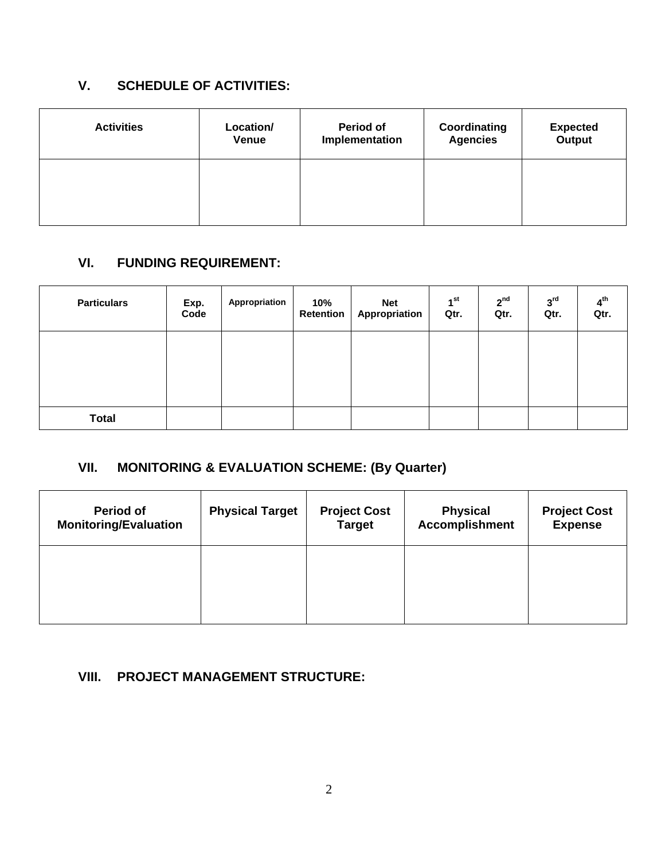# **V. SCHEDULE OF ACTIVITIES:**

| <b>Activities</b> | Location/<br>Venue | Period of<br>Implementation | Coordinating<br><b>Agencies</b> | <b>Expected</b><br>Output |
|-------------------|--------------------|-----------------------------|---------------------------------|---------------------------|
|                   |                    |                             |                                 |                           |
|                   |                    |                             |                                 |                           |

# **VI. FUNDING REQUIREMENT:**

| <b>Particulars</b> | Exp.<br>Code | Appropriation | 10%<br>Retention | <b>Net</b><br>Appropriation | 1 <sup>st</sup><br>Qtr. | 2 <sup>nd</sup><br>Qtr. | 3 <sup>rd</sup><br>Qtr. | $4^{\text{th}}$<br>Qtr. |
|--------------------|--------------|---------------|------------------|-----------------------------|-------------------------|-------------------------|-------------------------|-------------------------|
|                    |              |               |                  |                             |                         |                         |                         |                         |
|                    |              |               |                  |                             |                         |                         |                         |                         |
| <b>Total</b>       |              |               |                  |                             |                         |                         |                         |                         |

# **VII. MONITORING & EVALUATION SCHEME: (By Quarter)**

| <b>Period of</b><br><b>Monitoring/Evaluation</b> | <b>Physical Target</b> | <b>Project Cost</b><br><b>Target</b> | <b>Physical</b><br><b>Accomplishment</b> | <b>Project Cost</b><br><b>Expense</b> |
|--------------------------------------------------|------------------------|--------------------------------------|------------------------------------------|---------------------------------------|
|                                                  |                        |                                      |                                          |                                       |
|                                                  |                        |                                      |                                          |                                       |

## **VIII. PROJECT MANAGEMENT STRUCTURE:**